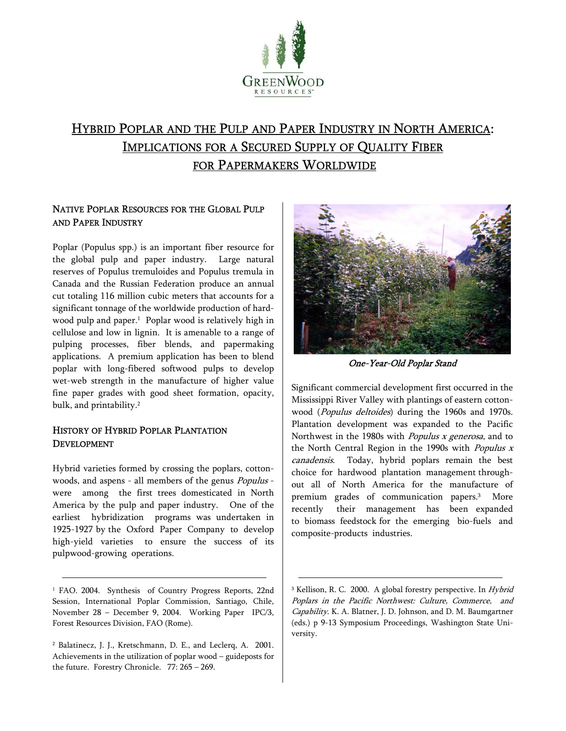

# HYBRID POPLAR AND THE PULP AND PAPER INDUSTRY IN NORTH AMERICA: IMPLICATIONS FOR A SECURED SUPPLY OF QUALITY FIBER FOR PAPERMAKERS WORLDWIDE

## NATIVE POPLAR RESOURCES FOR THE GLOBAL PULP AND PAPER INDUSTRY

Poplar (Populus spp.) is an important fiber resource for the global pulp and paper industry. Large natural reserves of Populus tremuloides and Populus tremula in Canada and the Russian Federation produce an annual cut totaling 116 million cubic meters that accounts for a significant tonnage of the worldwide production of hardwood pulp and paper.<sup>1</sup> Poplar wood is relatively high in cellulose and low in lignin. It is amenable to a range of pulping processes, fiber blends, and papermaking applications. A premium application has been to blend poplar with long-fibered softwood pulps to develop wet-web strength in the manufacture of higher value fine paper grades with good sheet formation, opacity, bulk, and printability.<sup>2</sup>

## HISTORY OF HYBRID POPLAR PLANTATION DEVELOPMENT

Hybrid varieties formed by crossing the poplars, cottonwoods, and aspens - all members of the genus Populus were among the first trees domesticated in North America by the pulp and paper industry. One of the earliest hybridization programs was undertaken in 1925-1927 by the Oxford Paper Company to develop high-yield varieties to ensure the success of its pulpwood-growing operations.

<sup>1</sup> FAO. 2004. Synthesis of Country Progress Reports, 22nd Session, International Poplar Commission, Santiago, Chile, November 28 - December 9, 2004. Working Paper IPC/3, Forest Resources Division, FAO (Rome).



One-Year-Old Poplar Stand

Significant commercial development first occurred in the Mississippi River Valley with plantings of eastern cottonwood (Populus deltoides) during the 1960s and 1970s. Plantation development was expanded to the Pacific Northwest in the 1980s with *Populus x generosa*, and to the North Central Region in the 1990s with *Populus*  $x$ canadensis. Today, hybrid poplars remain the best choice for hardwood plantation management throughout all of North America for the manufacture of premium grades of communication papers.3 More recently their management has been expanded to biomass feedstock for the emerging bio-fuels and composite-products industries.

<sup>2</sup> Balatinecz, J. J., Kretschmann, D. E., and Leclerq, A. 2001. Achievements in the utilization of poplar wood  $-$  guideposts for the future. Forestry Chronicle.  $77: 265 - 269$ .

<sup>&</sup>lt;sup>3</sup> Kellison, R. C. 2000. A global forestry perspective. In *Hybrid* Poplars in the Pacific Northwest: Culture, Commerce, and Capability. K. A. Blatner, J. D. Johnson, and D. M. Baumgartner (eds.) p 9-13 Symposium Proceedings, Washington State University.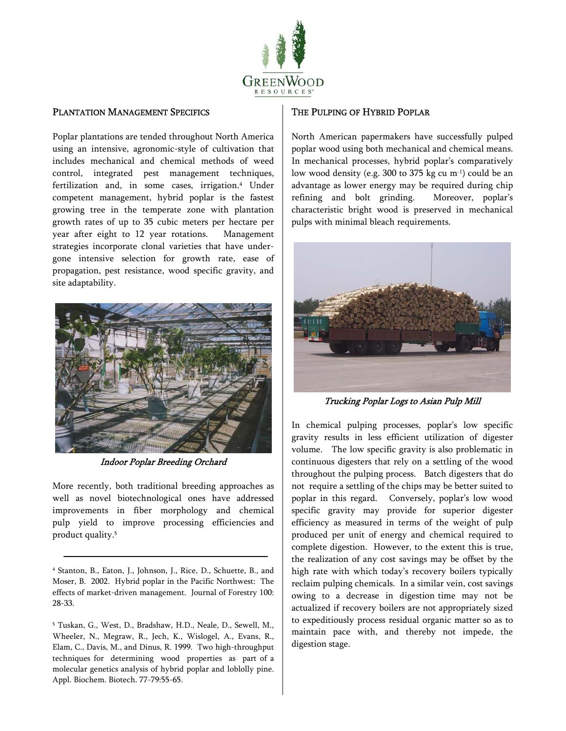

### PLANTATION MANAGEMENT SPECIFICS

Poplar plantations are tended throughout North America using an intensive, agronomic-style of cultivation that includes mechanical and chemical methods of weed control, integrated pest management techniques, fertilization and, in some cases, irrigation.<sup>4</sup> Under competent management, hybrid poplar is the fastest growing tree in the temperate zone with plantation growth rates of up to 35 cubic meters per hectare per year after eight to 12 year rotations. Management strategies incorporate clonal varieties that have undergone intensive selection for growth rate, ease of propagation, pest resistance, wood specific gravity, and site adaptability.



Indoor Poplar Breeding Orchard

More recently, both traditional breeding approaches as well as novel biotechnological ones have addressed improvements in fiber morphology and chemical pulp yield to improve processing efficiencies and product quality.5

5 Tuskan, G., West, D., Bradshaw, H.D., Neale, D., Sewell, M., Wheeler, N., Megraw, R., Jech, K., Wislogel, A., Evans, R., Elam, C., Davis, M., and Dinus, R. 1999. Two high-throughput techniques for determining wood properties as part of a molecular genetics analysis of hybrid poplar and loblolly pine. Appl. Biochem. Biotech. 77-79:55-65.

#### THE PULPING OF HYBRID POPLAR

North American papermakers have successfully pulped poplar wood using both mechanical and chemical means. In mechanical processes, hybrid poplar's comparatively low wood density (e.g. 300 to 375 kg cu m-1) could be an advantage as lower energy may be required during chip refining and bolt grinding. Moreover, poplar's characteristic bright wood is preserved in mechanical pulps with minimal bleach requirements.



Trucking Poplar Logs to Asian Pulp Mill

In chemical pulping processes, poplar's low specific gravity results in less efficient utilization of digester volume. The low specific gravity is also problematic in continuous digesters that rely on a settling of the wood throughout the pulping process. Batch digesters that do not require a settling of the chips may be better suited to poplar in this regard. Conversely, poplar's low wood specific gravity may provide for superior digester efficiency as measured in terms of the weight of pulp produced per unit of energy and chemical required to complete digestion. However, to the extent this is true, the realization of any cost savings may be offset by the high rate with which today's recovery boilers typically reclaim pulping chemicals. In a similar vein, cost savings owing to a decrease in digestion time may not be actualized if recovery boilers are not appropriately sized to expeditiously process residual organic matter so as to maintain pace with, and thereby not impede, the digestion stage.

<sup>4</sup> Stanton, B., Eaton, J., Johnson, J., Rice, D., Schuette, B., and Moser, B. 2002. Hybrid poplar in the Pacific Northwest: The effects of market-driven management. Journal of Forestry 100: 28-33.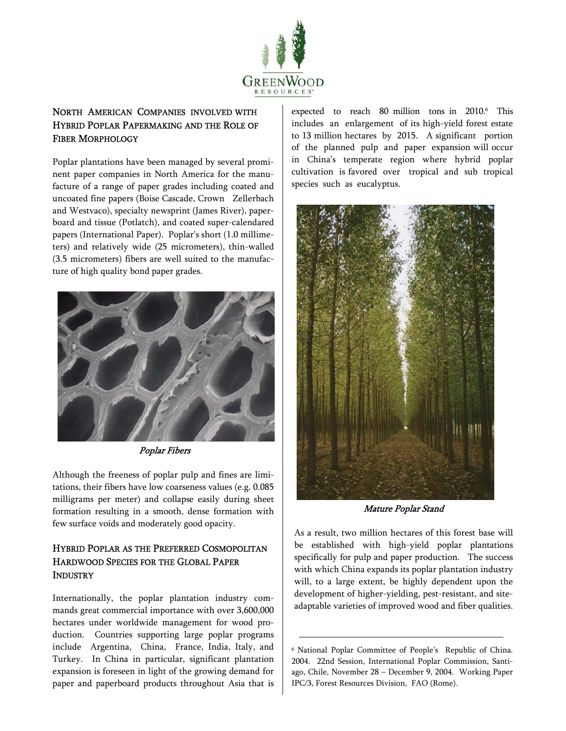

# NORTH AMERICAN COMPANIES INVOLVED WITH HYBRID POPLAR PAPERMAKING AND THE ROLE OF FIBER MORPHOLOGY

Poplar plantations have been managed by several prominent paper companies in North America for the manufacture of a range of paper grades including coated and uncoated fine papers (Boise Cascade, Crown Zellerbach and Westvaco), specialty newsprint (James River), paperboard and tissue (Potlatch), and coated super-calendared papers (International Paper). Poplar's short (1.0 millimeters) and relatively wide (25 micrometers), thin-walled (3.5 micrometers) fibers are well suited to the manufacture of high quality bond paper grades.



Poplar Fibers

Although the freeness of poplar pulp and fines are limitations, their fibers have low coarseness values (e.g. 0.085 milligrams per meter) and collapse easily during sheet formation resulting in a smooth, dense formation with few surface voids and moderately good opacity.

## HYBRID POPLAR AS THE PREFERRED COSMOPOLITAN HARDWOOD SPECIES FOR THE GLOBAL PAPER INDUSTRY

Internationally, the poplar plantation industry commands great commercial importance with over 3,600,000 hectares under worldwide management for wood production. Countries supporting large poplar programs include Argentina, China, France, India, Italy, and Turkey. In China in particular, significant plantation expansion is foreseen in light of the growing demand for paper and paperboard products throughout Asia that is

expected to reach 80 million tons in 2010.<sup>6</sup> This includes an enlargement of its high-yield forest estate to 13 million hectares by 2015. A significant portion of the planned pulp and paper expansion will occur in China's temperate region where hybrid poplar cultivation is favored over tropical and sub tropical species such as eucalyptus.



Mature Poplar Stand

As a result, two million hectares of this forest base will be established with high-yield poplar plantations specifically for pulp and paper production. The success with which China expands its poplar plantation industry will, to a large extent, be highly dependent upon the development of higher-yielding, pest-resistant, and siteadaptable varieties of improved wood and fiber qualities.

<sup>&</sup>lt;sup>6</sup> National Poplar Committee of People's Republic of China. 2004. 22nd Session, International Poplar Commission, Santiago, Chile, November 28 ` December 9, 2004. Working Paper IPC/3, Forest Resources Division, FAO (Rome).